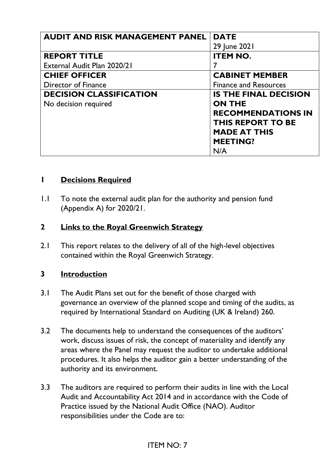| <b>AUDIT AND RISK MANAGEMENT PANEL</b> | <b>DATE</b>                  |
|----------------------------------------|------------------------------|
|                                        | 29 June 2021                 |
| <b>REPORT TITLE</b>                    | <b>ITEM NO.</b>              |
| External Audit Plan 2020/21            |                              |
| <b>CHIEF OFFICER</b>                   | <b>CABINET MEMBER</b>        |
| Director of Finance                    | <b>Finance and Resources</b> |
| <b>DECISION CLASSIFICATION</b>         | <b>IS THE FINAL DECISION</b> |
| No decision required                   | <b>ON THE</b>                |
|                                        | <b>RECOMMENDATIONS IN</b>    |
|                                        | <b>THIS REPORT TO BE</b>     |
|                                        | <b>MADE AT THIS</b>          |
|                                        | <b>MEETING?</b>              |
|                                        | N/A                          |

#### **1 Decisions Required**

1.1 To note the external audit plan for the authority and pension fund (Appendix A) for 2020/21.

## **2 Links to the Royal Greenwich Strategy**

2.1 This report relates to the delivery of all of the high-level objectives contained within the Royal Greenwich Strategy.

## **3 Introduction**

- 3.1 The Audit Plans set out for the benefit of those charged with governance an overview of the planned scope and timing of the audits, as required by International Standard on Auditing (UK & Ireland) 260.
- 3.2 The documents help to understand the consequences of the auditors' work, discuss issues of risk, the concept of materiality and identify any areas where the Panel may request the auditor to undertake additional procedures. It also helps the auditor gain a better understanding of the authority and its environment.
- 3.3 The auditors are required to perform their audits in line with the Local Audit and Accountability Act 2014 and in accordance with the Code of Practice issued by the National Audit Office (NAO). Auditor responsibilities under the Code are to: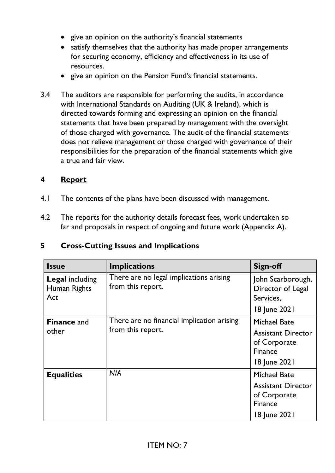- give an opinion on the authority's financial statements
- satisfy themselves that the authority has made proper arrangements for securing economy, efficiency and effectiveness in its use of resources.
- give an opinion on the Pension Fund's financial statements.
- 3.4 The auditors are responsible for performing the audits, in accordance with International Standards on Auditing (UK & Ireland), which is directed towards forming and expressing an opinion on the financial statements that have been prepared by management with the oversight of those charged with governance. The audit of the financial statements does not relieve management or those charged with governance of their responsibilities for the preparation of the financial statements which give a true and fair view.

## **4 Report**

- 4.1 The contents of the plans have been discussed with management.
- 4.2 The reports for the authority details forecast fees, work undertaken so far and proposals in respect of ongoing and future work (Appendix A).

# **5 Cross-Cutting Issues and Implications**

| <b>Issue</b>                                  | <b>Implications</b>                                             | Sign-off                                                                                           |
|-----------------------------------------------|-----------------------------------------------------------------|----------------------------------------------------------------------------------------------------|
| <b>Legal including</b><br>Human Rights<br>Act | There are no legal implications arising<br>from this report.    | John Scarborough,<br>Director of Legal<br>Services,<br>18 June 2021                                |
| <b>Finance and</b><br>other                   | There are no financial implication arising<br>from this report. | <b>Michael Bate</b><br><b>Assistant Director</b><br>of Corporate<br><b>Finance</b><br>18 June 2021 |
| <b>Equalities</b>                             | N/A                                                             | <b>Michael Bate</b><br><b>Assistant Director</b><br>of Corporate<br><b>Finance</b><br>18 June 2021 |